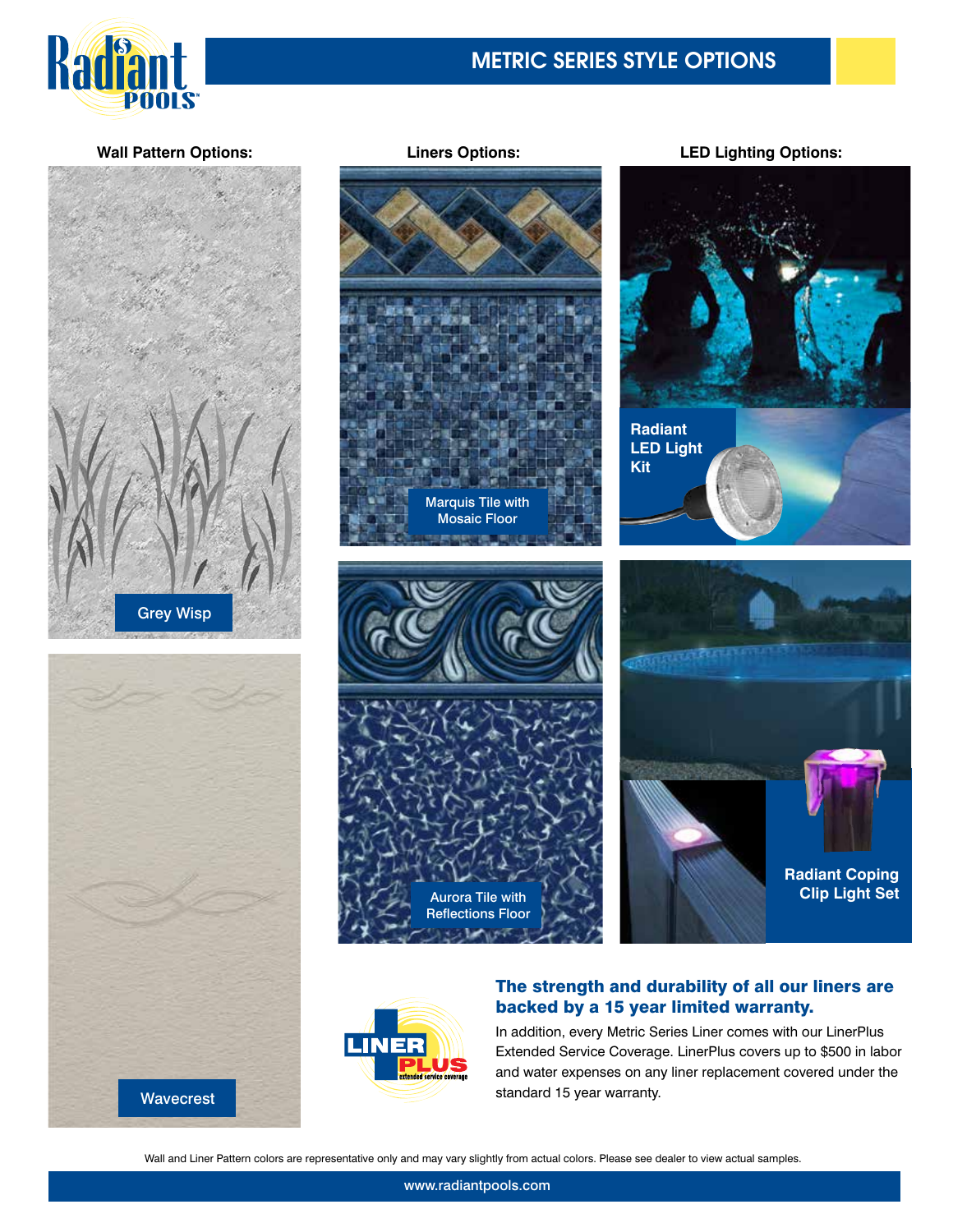

**Wall Pattern Options:**





Marquis Tile with Mosaic Floor



# **Liners Options: LED Lighting Options:**





### The strength and durability of all our liners are backed by a 15 year limited warranty.

In addition, every Metric Series Liner comes with our LinerPlus Extended Service Coverage. LinerPlus covers up to \$500 in labor and water expenses on any liner replacement covered under the standard 15 year warranty.

Wall and Liner Pattern colors are representative only and may vary slightly from actual colors. Please see dealer to view actual samples.